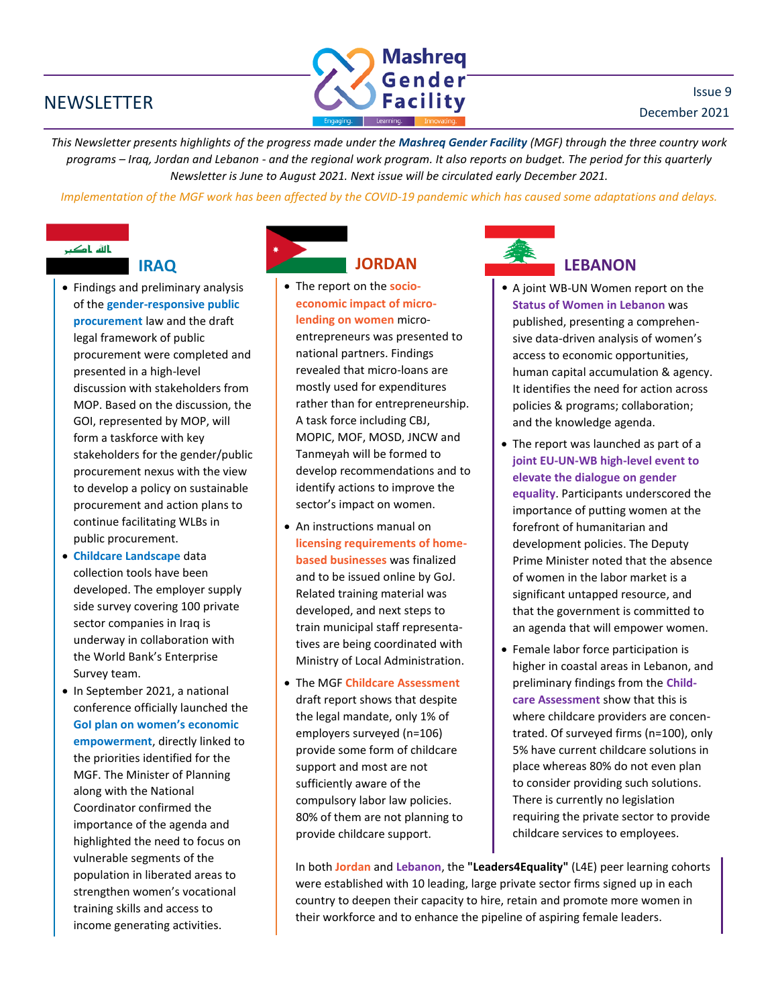## **NEWSLETTER**



*This Newsletter presents highlights of the progress made under the Mashreq Gender Facility (MGF) through the three country work programs – Iraq, Jordan and Lebanon - and the regional work program. It also reports on budget. The period for this quarterly Newsletter is June to August 2021. Next issue will be circulated early December 2021.*

*Implementation of the MGF work has been affected by the COVID-19 pandemic which has caused some adaptations and delays.*

# بالله باکب

- 
- Findings and preliminary analysis of the **gender-responsive public procurement** law and the draft legal framework of public procurement were completed and presented in a high-level discussion with stakeholders from MOP. Based on the discussion, the GOI, represented by MOP, will form a taskforce with key stakeholders for the gender/public procurement nexus with the view to develop a policy on sustainable procurement and action plans to continue facilitating WLBs in public procurement.
- **Childcare Landscape** data collection tools have been developed. The employer supply side survey covering 100 private sector companies in Iraq is underway in collaboration with the World Bank's Enterprise Survey team.
- In September 2021, a national conference officially launched the **GoI plan on women's economic empowerment**, directly linked to the priorities identified for the MGF. The Minister of Planning along with the National Coordinator confirmed the importance of the agenda and highlighted the need to focus on vulnerable segments of the population in liberated areas to strengthen women's vocational training skills and access to income generating activities.



- The report on the **socioeconomic impact of microlending on women** microentrepreneurs was presented to national partners. Findings revealed that micro-loans are mostly used for expenditures rather than for entrepreneurship. A task force including CBJ, MOPIC, MOF, MOSD, JNCW and Tanmeyah will be formed to develop recommendations and to identify actions to improve the sector's impact on women.
- An instructions manual on **licensing requirements of homebased businesses** was finalized and to be issued online by GoJ. Related training material was developed, and next steps to train municipal staff representatives are being coordinated with Ministry of Local Administration.
- The MGF **Childcare Assessment** draft report shows that despite the legal mandate, only 1% of employers surveyed (n=106) provide some form of childcare support and most are not sufficiently aware of the compulsory labor law policies. 80% of them are not planning to provide childcare support.



# **LEBANON**

- A joint WB-UN Women report on the **Status of Women in Lebanon** was published, presenting a comprehensive data-driven analysis of women's access to economic opportunities, human capital accumulation & agency. It identifies the need for action across policies & programs; collaboration; and the knowledge agenda.
- The report was launched as part of a **joint EU-UN-WB high-level event to elevate the dialogue on gender equality**. Participants underscored the importance of putting women at the forefront of humanitarian and development policies. The Deputy Prime Minister noted that the absence of women in the labor market is a significant untapped resource, and that the government is committed to an agenda that will empower women.
- Female labor force participation is higher in coastal areas in Lebanon, and preliminary findings from the **Childcare Assessment** show that this is where childcare providers are concentrated. Of surveyed firms (n=100), only 5% have current childcare solutions in place whereas 80% do not even plan to consider providing such solutions. There is currently no legislation requiring the private sector to provide childcare services to employees.

In both **Jordan** and **Lebanon**, the **"Leaders4Equality"** (L4E) peer learning cohorts were established with 10 leading, large private sector firms signed up in each country to deepen their capacity to hire, retain and promote more women in their workforce and to enhance the pipeline of aspiring female leaders.